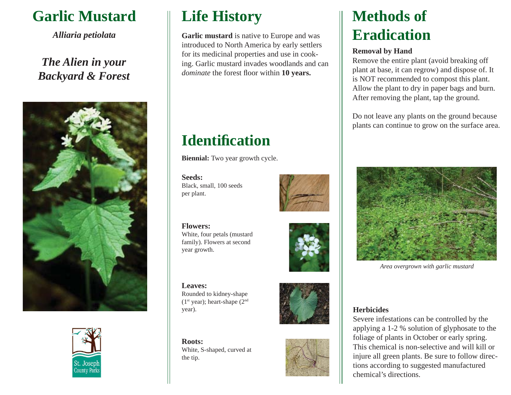## **Garlic Mustard**

*Alliaria petiolata*

### *The Alien in your Backyard & Forest*





## **Life History**

**Garlic mustard** is native to Europe and was introduced to North America by early settlers for its medicinal properties and use in cooking. Garlic mustard invades woodlands and can *dominate* the forest floor within 10 years.

# **Identifi cation**

**Biennial:** Two year growth cycle.

#### **Seeds:**Black, small, 100 seeds per plant.





**Leaves:** Rounded to kidney-shape  $(1<sup>st</sup> year)$ ; heart-shape  $(2<sup>nd</sup>$ 

year).

**Roots:**White, S-shaped, curved at the tip.





# **Methods of Eradication**

#### **Removal by Hand**

Remove the entire plant (avoid breaking off plant at base, it can regrow) and dispose of. It is NOT recommended to compost this plant. Allow the plant to dry in paper bags and burn. After removing the plant, tap the ground.

Do not leave any plants on the ground because plants can continue to grow on the surface area.



*Area overgrown with garlic mustard*

#### **Herbicides**

Severe infestations can be controlled by the applying a 1-2 % solution of glyphosate to the foliage of plants in October or early spring. This chemical is non-selective and will kill or injure all green plants. Be sure to follow directions according to suggested manufactured chemical's directions.